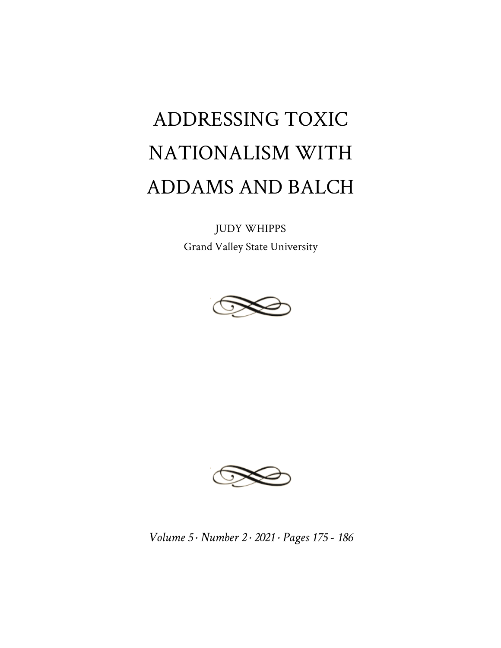# ADDRESSING TOXIC NATIONALISM WITH ADDAMS AND BALCH

JUDY WHIPPS Grand Valley State University





*Volume 5 · Number 2 · 2021 · Pages 175 - 186*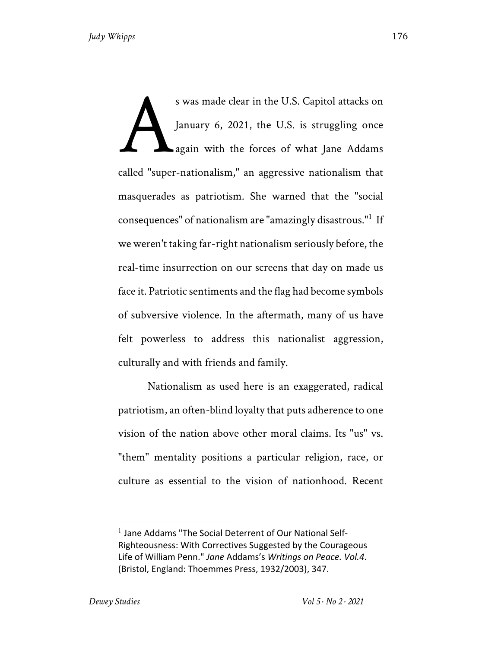s was made clear in the U.S. Capitol attacks on January 6, 2021, the U.S. is struggling once again with the forces of what Jane Addams called "super-nationalism," an aggressive nationalism that masquerades as patriotism. She warned that the "social consequences" of nationalism are "amazingly disastrous."<sup>1</sup> If we weren't taking far-right nationalism seriously before, the real-time insurrection on our screens that day on made us face it. Patriotic sentiments and the flag had become symbols of subversive violence. In the aftermath, many of us have felt powerless to address this nationalist aggression, culturally and with friends and family. A

Nationalism as used here is an exaggerated, radical patriotism, an often-blind loyalty that puts adherence to one vision of the nation above other moral claims. Its "us" vs. "them" mentality positions a particular religion, race, or culture as essential to the vision of nationhood. Recent

<sup>&</sup>lt;sup>1</sup> Jane Addams "The Social Deterrent of Our National Self-Righteousness: With Correctives Suggested by the Courageous Life of William Penn." *Jane* Addams's *Writings on Peace. Vol.4*. (Bristol, England: Thoemmes Press, 1932/2003), 347.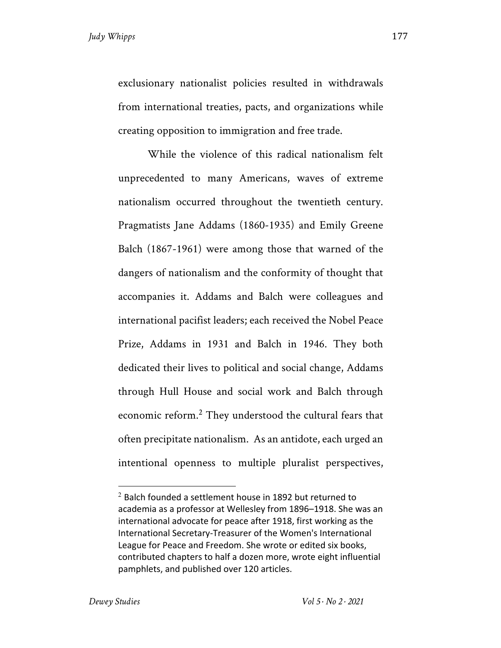exclusionary nationalist policies resulted in withdrawals from international treaties, pacts, and organizations while creating opposition to immigration and free trade.

While the violence of this radical nationalism felt unprecedented to many Americans, waves of extreme nationalism occurred throughout the twentieth century. Pragmatists Jane Addams (1860-1935) and Emily Greene Balch (1867-1961) were among those that warned of the dangers of nationalism and the conformity of thought that accompanies it. Addams and Balch were colleagues and international pacifist leaders; each received the Nobel Peace Prize, Addams in 1931 and Balch in 1946. They both dedicated their lives to political and social change, Addams through Hull House and social work and Balch through economic reform.<sup>2</sup> They understood the cultural fears that often precipitate nationalism. As an antidote, each urged an intentional openness to multiple pluralist perspectives,

 $2$  Balch founded a settlement house in 1892 but returned to academia as a professor at Wellesley from 1896–1918. She was an international advocate for peace after 1918, first working as the International Secretary-Treasurer of the Women's International League for Peace and Freedom. She wrote or edited six books, contributed chapters to half a dozen more, wrote eight influential pamphlets, and published over 120 articles.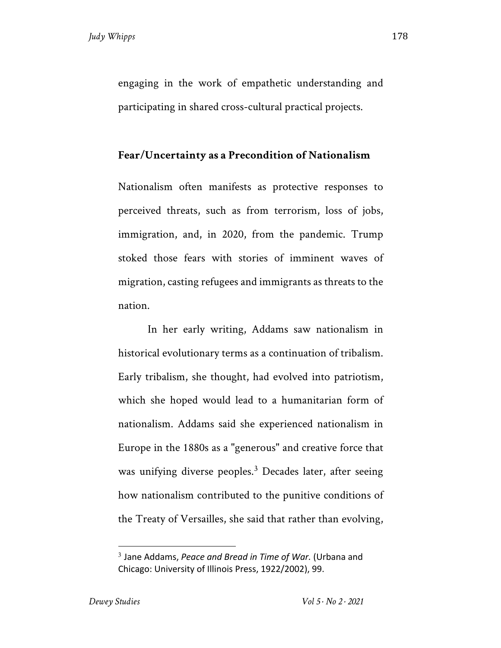engaging in the work of empathetic understanding and participating in shared cross-cultural practical projects.

### **Fear/Uncertainty as a Precondition of Nationalism**

Nationalism often manifests as protective responses to perceived threats, such as from terrorism, loss of jobs, immigration, and, in 2020, from the pandemic. Trump stoked those fears with stories of imminent waves of migration, casting refugees and immigrants as threats to the nation.

In her early writing, Addams saw nationalism in historical evolutionary terms as a continuation of tribalism. Early tribalism, she thought, had evolved into patriotism, which she hoped would lead to a humanitarian form of nationalism. Addams said she experienced nationalism in Europe in the 1880s as a "generous" and creative force that was unifying diverse peoples.<sup>3</sup> Decades later, after seeing how nationalism contributed to the punitive conditions of the Treaty of Versailles, she said that rather than evolving,

<sup>3</sup> Jane Addams, *Peace and Bread in Time of War.* (Urbana and Chicago: University of Illinois Press, 1922/2002), 99.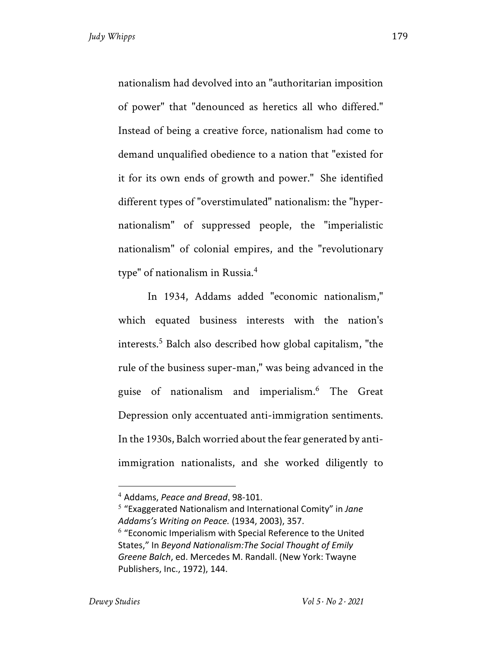nationalism had devolved into an "authoritarian imposition of power" that "denounced as heretics all who differed." Instead of being a creative force, nationalism had come to demand unqualified obedience to a nation that "existed for it for its own ends of growth and power." She identified different types of "overstimulated" nationalism: the "hypernationalism" of suppressed people, the "imperialistic nationalism" of colonial empires, and the "revolutionary type" of nationalism in Russia.4

In 1934, Addams added "economic nationalism," which equated business interests with the nation's interests.<sup>5</sup> Balch also described how global capitalism, "the rule of the business super-man," was being advanced in the guise of nationalism and imperialism.6 The Great Depression only accentuated anti-immigration sentiments. In the 1930s, Balch worried about the fear generated by antiimmigration nationalists, and she worked diligently to

<sup>4</sup> Addams, *Peace and Bread*, 98-101.

<sup>5</sup> "Exaggerated Nationalism and International Comity" in *Jane Addams's Writing on Peace.* (1934, 2003), 357.

 $6$  "Economic Imperialism with Special Reference to the United States," In *Beyond Nationalism:The Social Thought of Emily Greene Balch*, ed. Mercedes M. Randall. (New York: Twayne Publishers, Inc., 1972), 144.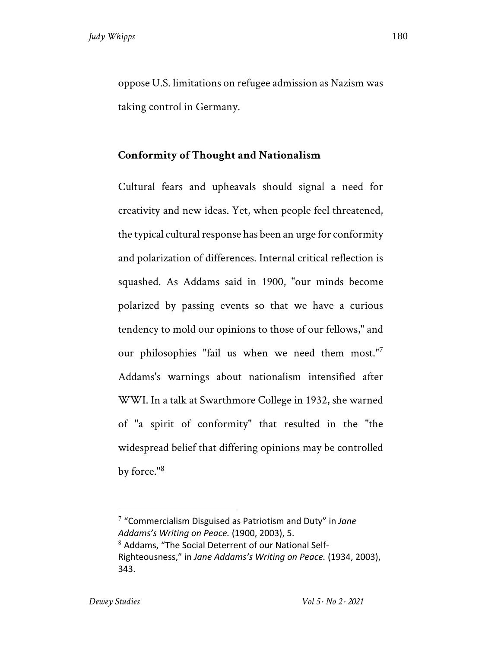oppose U.S. limitations on refugee admission as Nazism was taking control in Germany.

## **Conformity of Thought and Nationalism**

Cultural fears and upheavals should signal a need for creativity and new ideas. Yet, when people feel threatened, the typical cultural response has been an urge for conformity and polarization of differences. Internal critical reflection is squashed. As Addams said in 1900, "our minds become polarized by passing events so that we have a curious tendency to mold our opinions to those of our fellows," and our philosophies "fail us when we need them most."<sup>7</sup> Addams's warnings about nationalism intensified after WWI. In a talk at Swarthmore College in 1932, she warned of "a spirit of conformity" that resulted in the "the widespread belief that differing opinions may be controlled by force."<sup>8</sup>

<sup>7</sup> "Commercialism Disguised as Patriotism and Duty" in *Jane Addams's Writing on Peace.* (1900, 2003), 5.  $8$  Addams, "The Social Deterrent of our National Self-Righteousness," in *Jane Addams's Writing on Peace.* (1934, 2003), 343.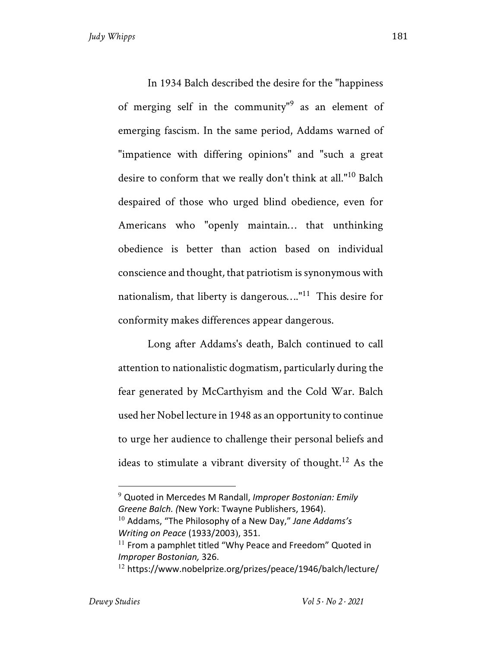In 1934 Balch described the desire for the "happiness of merging self in the community<sup>"9</sup> as an element of emerging fascism. In the same period, Addams warned of "impatience with differing opinions" and "such a great desire to conform that we really don't think at all."<sup>10</sup> Balch despaired of those who urged blind obedience, even for Americans who "openly maintain… that unthinking obedience is better than action based on individual conscience and thought*,* that patriotism is synonymous with nationalism*,* that liberty is dangerous…."<sup>11</sup> This desire for conformity makes differences appear dangerous.

Long after Addams's death, Balch continued to call attention to nationalistic dogmatism, particularly during the fear generated by McCarthyism and the Cold War. Balch used her Nobel lecture in 1948 as an opportunity to continue to urge her audience to challenge their personal beliefs and ideas to stimulate a vibrant diversity of thought.<sup>12</sup> As the

*Writing on Peace* (1933/2003), 351.

<sup>9</sup> Quoted in Mercedes M Randall, *Improper Bostonian: Emily Greene Balch. (*New York: Twayne Publishers, 1964). <sup>10</sup> Addams, "The Philosophy of a New Day," *Jane Addams's* 

 $11$  From a pamphlet titled "Why Peace and Freedom" Quoted in *Improper Bostonian,* 326.

 $12$  https://www.nobelprize.org/prizes/peace/1946/balch/lecture/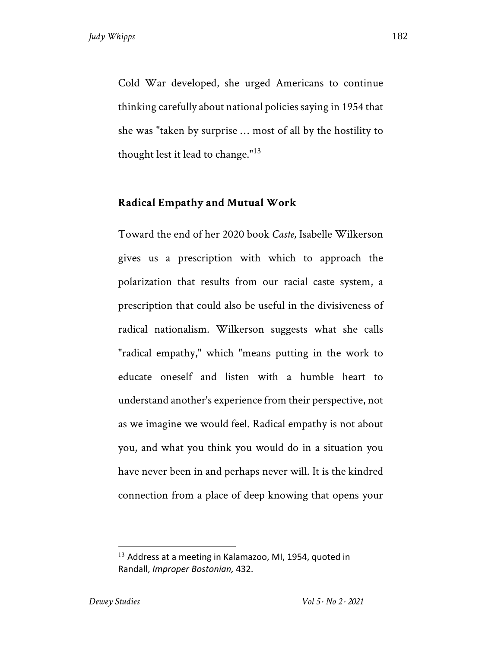Cold War developed, she urged Americans to continue thinking carefully about national policies saying in 1954 that she was "taken by surprise … most of all by the hostility to thought lest it lead to change." $13$ 

### **Radical Empathy and Mutual Work**

Toward the end of her 2020 book *Caste,* Isabelle Wilkerson gives us a prescription with which to approach the polarization that results from our racial caste system, a prescription that could also be useful in the divisiveness of radical nationalism. Wilkerson suggests what she calls "radical empathy," which "means putting in the work to educate oneself and listen with a humble heart to understand another's experience from their perspective, not as we imagine we would feel. Radical empathy is not about you, and what you think you would do in a situation you have never been in and perhaps never will. It is the kindred connection from a place of deep knowing that opens your

 $13$  Address at a meeting in Kalamazoo, MI, 1954, quoted in Randall, *Improper Bostonian,* 432.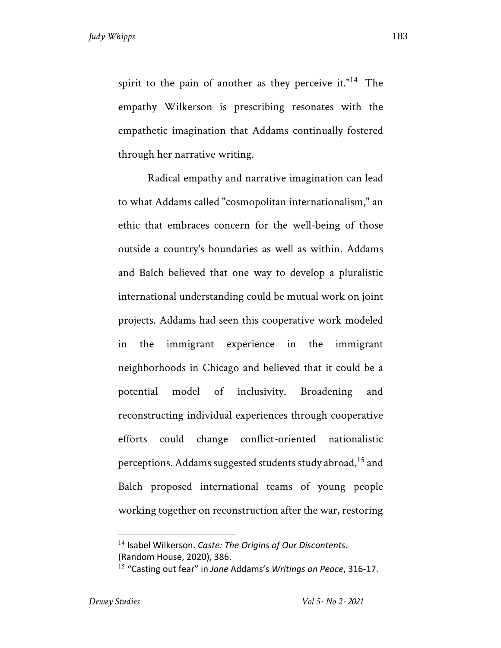spirit to the pain of another as they perceive it."<sup>14</sup> The empathy Wilkerson is prescribing resonates with the empathetic imagination that Addams continually fostered through her narrative writing.

Radical empathy and narrative imagination can lead to what Addams called "cosmopolitan internationalism," an ethic that embraces concern for the well-being of those outside a country's boundaries as well as within. Addams and Balch believed that one way to develop a pluralistic international understanding could be mutual work on joint projects. Addams had seen this cooperative work modeled in the immigrant experience in the immigrant neighborhoods in Chicago and believed that it could be a potential model of inclusivity. Broadening and reconstructing individual experiences through cooperative efforts could change conflict-oriented nationalistic perceptions. Addams suggested students study abroad,<sup>15</sup> and Balch proposed international teams of young people working together on reconstruction after the war, restoring

<sup>14</sup> Isabel Wilkerson. *Caste: The Origins of Our Discontents*. (Random House, 2020), 386.

<sup>15</sup> "Casting out fear" in *Jane* Addams's *Writings on Peace*, 316-17.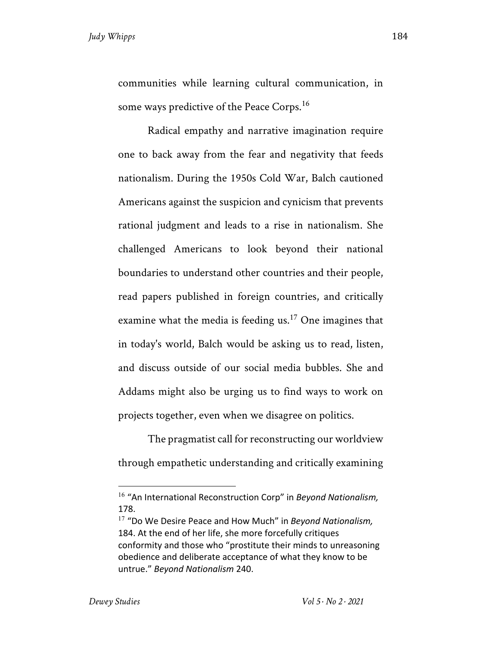communities while learning cultural communication, in some ways predictive of the Peace Corps.<sup>16</sup>

Radical empathy and narrative imagination require one to back away from the fear and negativity that feeds nationalism. During the 1950s Cold War, Balch cautioned Americans against the suspicion and cynicism that prevents rational judgment and leads to a rise in nationalism. She challenged Americans to look beyond their national boundaries to understand other countries and their people, read papers published in foreign countries, and critically examine what the media is feeding us.<sup>17</sup> One imagines that in today's world, Balch would be asking us to read, listen, and discuss outside of our social media bubbles. She and Addams might also be urging us to find ways to work on projects together, even when we disagree on politics.

The pragmatist call for reconstructing our worldview through empathetic understanding and critically examining

<sup>16</sup> "An International Reconstruction Corp" in *Beyond Nationalism,* 178.

<sup>17</sup> "Do We Desire Peace and How Much" in *Beyond Nationalism,* 184. At the end of her life, she more forcefully critiques conformity and those who "prostitute their minds to unreasoning obedience and deliberate acceptance of what they know to be untrue." *Beyond Nationalism* 240.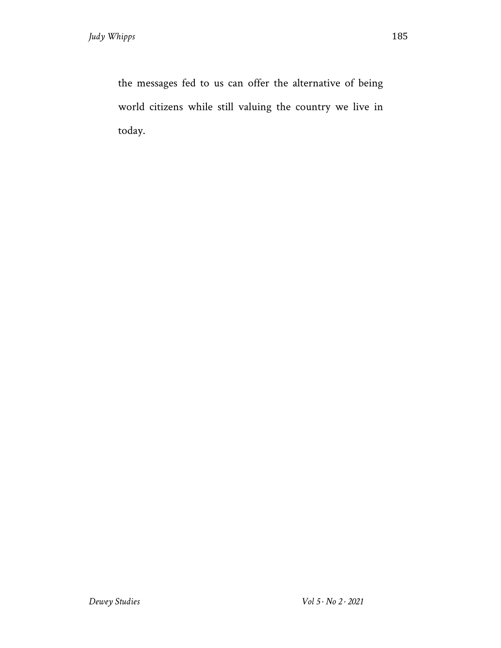the messages fed to us can offer the alternative of being world citizens while still valuing the country we live in today.